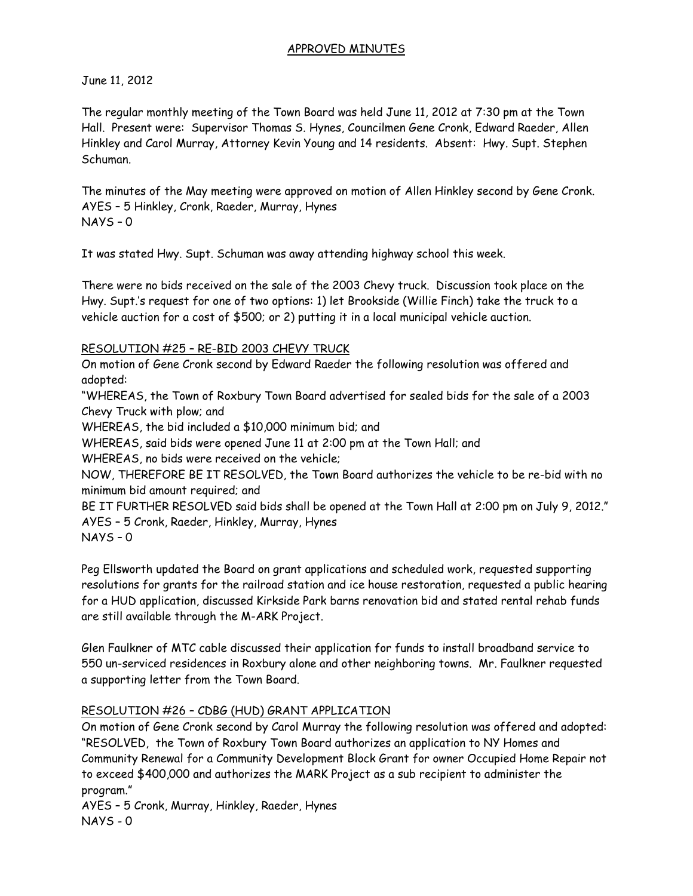#### APPROVED MINUTES

June 11, 2012

The regular monthly meeting of the Town Board was held June 11, 2012 at 7:30 pm at the Town Hall. Present were: Supervisor Thomas S. Hynes, Councilmen Gene Cronk, Edward Raeder, Allen Hinkley and Carol Murray, Attorney Kevin Young and 14 residents. Absent: Hwy. Supt. Stephen Schuman.

The minutes of the May meeting were approved on motion of Allen Hinkley second by Gene Cronk. AYES – 5 Hinkley, Cronk, Raeder, Murray, Hynes NAYS – 0

It was stated Hwy. Supt. Schuman was away attending highway school this week.

There were no bids received on the sale of the 2003 Chevy truck. Discussion took place on the Hwy. Supt.'s request for one of two options: 1) let Brookside (Willie Finch) take the truck to a vehicle auction for a cost of \$500; or 2) putting it in a local municipal vehicle auction.

## RESOLUTION #25 – RE-BID 2003 CHEVY TRUCK

On motion of Gene Cronk second by Edward Raeder the following resolution was offered and adopted:

"WHEREAS, the Town of Roxbury Town Board advertised for sealed bids for the sale of a 2003 Chevy Truck with plow; and

WHEREAS, the bid included a \$10,000 minimum bid; and

WHEREAS, said bids were opened June 11 at 2:00 pm at the Town Hall; and

WHEREAS, no bids were received on the vehicle;

NOW, THEREFORE BE IT RESOLVED, the Town Board authorizes the vehicle to be re-bid with no minimum bid amount required; and

BE IT FURTHER RESOLVED said bids shall be opened at the Town Hall at 2:00 pm on July 9, 2012." AYES – 5 Cronk, Raeder, Hinkley, Murray, Hynes NAYS – 0

Peg Ellsworth updated the Board on grant applications and scheduled work, requested supporting resolutions for grants for the railroad station and ice house restoration, requested a public hearing for a HUD application, discussed Kirkside Park barns renovation bid and stated rental rehab funds are still available through the M-ARK Project.

Glen Faulkner of MTC cable discussed their application for funds to install broadband service to 550 un-serviced residences in Roxbury alone and other neighboring towns. Mr. Faulkner requested a supporting letter from the Town Board.

## RESOLUTION #26 – CDBG (HUD) GRANT APPLICATION

On motion of Gene Cronk second by Carol Murray the following resolution was offered and adopted: "RESOLVED, the Town of Roxbury Town Board authorizes an application to NY Homes and Community Renewal for a Community Development Block Grant for owner Occupied Home Repair not to exceed \$400,000 and authorizes the MARK Project as a sub recipient to administer the program."

AYES – 5 Cronk, Murray, Hinkley, Raeder, Hynes NAYS - 0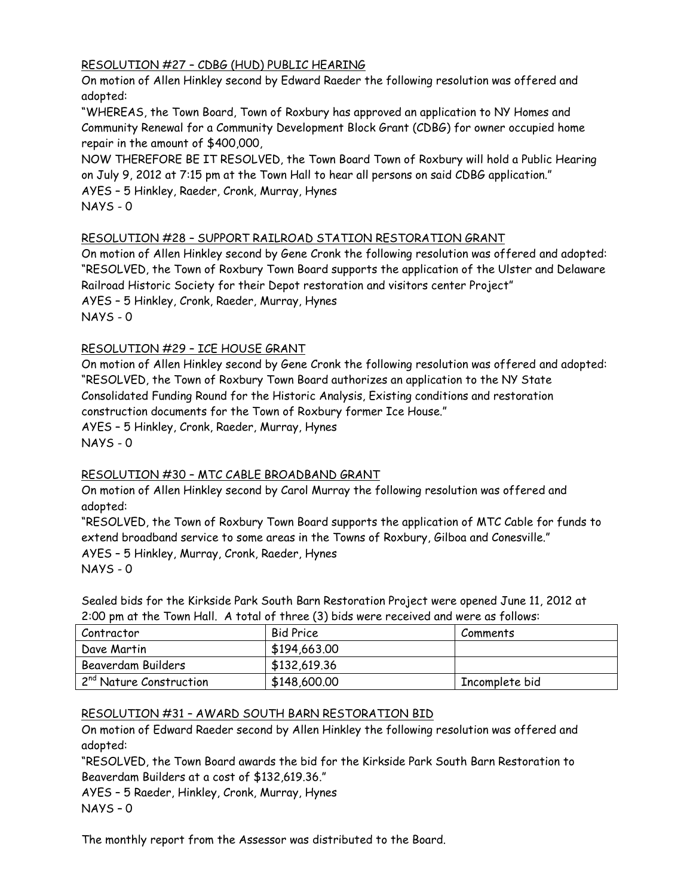## RESOLUTION #27 – CDBG (HUD) PUBLIC HEARING

On motion of Allen Hinkley second by Edward Raeder the following resolution was offered and adopted:

"WHEREAS, the Town Board, Town of Roxbury has approved an application to NY Homes and Community Renewal for a Community Development Block Grant (CDBG) for owner occupied home repair in the amount of \$400,000,

NOW THEREFORE BE IT RESOLVED, the Town Board Town of Roxbury will hold a Public Hearing on July 9, 2012 at 7:15 pm at the Town Hall to hear all persons on said CDBG application." AYES – 5 Hinkley, Raeder, Cronk, Murray, Hynes NAYS - 0

## RESOLUTION #28 – SUPPORT RAILROAD STATION RESTORATION GRANT

On motion of Allen Hinkley second by Gene Cronk the following resolution was offered and adopted: "RESOLVED, the Town of Roxbury Town Board supports the application of the Ulster and Delaware Railroad Historic Society for their Depot restoration and visitors center Project" AYES – 5 Hinkley, Cronk, Raeder, Murray, Hynes NAYS - 0

# RESOLUTION #29 – ICE HOUSE GRANT

On motion of Allen Hinkley second by Gene Cronk the following resolution was offered and adopted: "RESOLVED, the Town of Roxbury Town Board authorizes an application to the NY State Consolidated Funding Round for the Historic Analysis, Existing conditions and restoration construction documents for the Town of Roxbury former Ice House." AYES – 5 Hinkley, Cronk, Raeder, Murray, Hynes NAYS - 0

## RESOLUTION #30 – MTC CABLE BROADBAND GRANT

On motion of Allen Hinkley second by Carol Murray the following resolution was offered and adopted:

"RESOLVED, the Town of Roxbury Town Board supports the application of MTC Cable for funds to extend broadband service to some areas in the Towns of Roxbury, Gilboa and Conesville." AYES – 5 Hinkley, Murray, Cronk, Raeder, Hynes  $NAYS - 0$ 

Sealed bids for the Kirkside Park South Barn Restoration Project were opened June 11, 2012 at 2:00 pm at the Town Hall. A total of three (3) bids were received and were as follows:

| Contractor                          | <b>Bid Price</b> | Comments       |
|-------------------------------------|------------------|----------------|
| Dave Martin                         | \$194,663.00     |                |
| Beaverdam Builders                  | \$132,619.36     |                |
| 2 <sup>nd</sup> Nature Construction | \$148,600.00     | Incomplete bid |

## RESOLUTION #31 – AWARD SOUTH BARN RESTORATION BID

On motion of Edward Raeder second by Allen Hinkley the following resolution was offered and adopted:

"RESOLVED, the Town Board awards the bid for the Kirkside Park South Barn Restoration to Beaverdam Builders at a cost of \$132,619.36."

AYES – 5 Raeder, Hinkley, Cronk, Murray, Hynes NAYS – 0

The monthly report from the Assessor was distributed to the Board.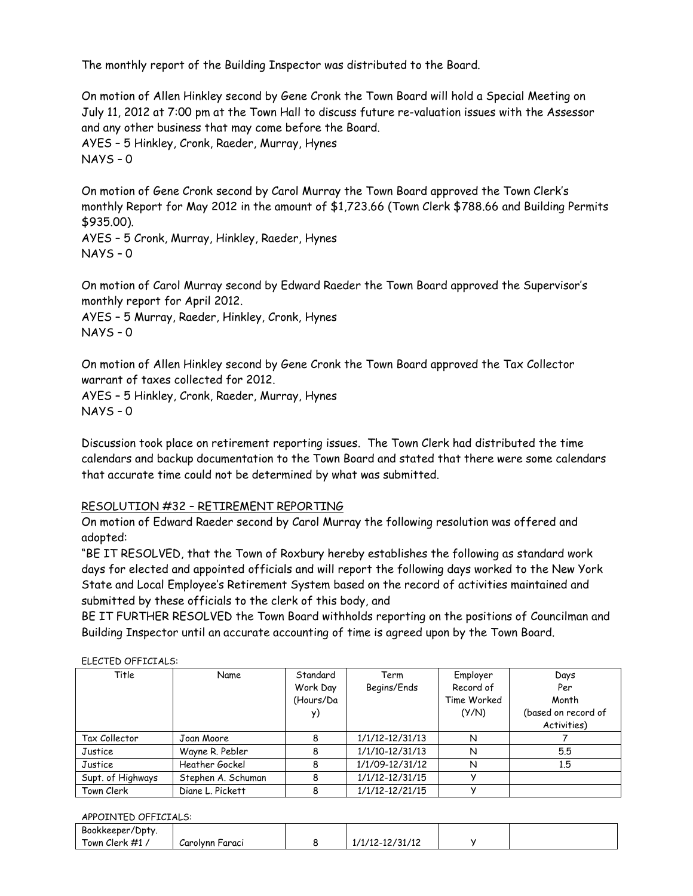The monthly report of the Building Inspector was distributed to the Board.

On motion of Allen Hinkley second by Gene Cronk the Town Board will hold a Special Meeting on July 11, 2012 at 7:00 pm at the Town Hall to discuss future re-valuation issues with the Assessor and any other business that may come before the Board. AYES – 5 Hinkley, Cronk, Raeder, Murray, Hynes NAYS – 0

On motion of Gene Cronk second by Carol Murray the Town Board approved the Town Clerk's monthly Report for May 2012 in the amount of \$1,723.66 (Town Clerk \$788.66 and Building Permits \$935.00).

AYES – 5 Cronk, Murray, Hinkley, Raeder, Hynes NAYS – 0

On motion of Carol Murray second by Edward Raeder the Town Board approved the Supervisor's monthly report for April 2012.

AYES – 5 Murray, Raeder, Hinkley, Cronk, Hynes  $NAYS - 0$ 

On motion of Allen Hinkley second by Gene Cronk the Town Board approved the Tax Collector warrant of taxes collected for 2012.

AYES – 5 Hinkley, Cronk, Raeder, Murray, Hynes NAYS – 0

Discussion took place on retirement reporting issues. The Town Clerk had distributed the time calendars and backup documentation to the Town Board and stated that there were some calendars that accurate time could not be determined by what was submitted.

## RESOLUTION #32 – RETIREMENT REPORTING

On motion of Edward Raeder second by Carol Murray the following resolution was offered and adopted:

"BE IT RESOLVED, that the Town of Roxbury hereby establishes the following as standard work days for elected and appointed officials and will report the following days worked to the New York State and Local Employee's Retirement System based on the record of activities maintained and submitted by these officials to the clerk of this body, and

BE IT FURTHER RESOLVED the Town Board withholds reporting on the positions of Councilman and Building Inspector until an accurate accounting of time is agreed upon by the Town Board.

| CCC . CD OI . TOI . CO. |                    |           |                 |             |                     |
|-------------------------|--------------------|-----------|-----------------|-------------|---------------------|
| Title                   | Name               | Standard  | Term            | Employer    | Days                |
|                         |                    | Work Day  | Begins/Ends     | Record of   | Per                 |
|                         |                    | (Hours/Da |                 | Time Worked | Month               |
|                         |                    |           |                 | (Y/N)       | (based on record of |
|                         |                    |           |                 |             | Activities)         |
| Tax Collector           | Joan Moore         |           | 1/1/12-12/31/13 | N           |                     |
| Justice                 | Wayne R. Pebler    |           | 1/1/10-12/31/13 | N           | 5.5                 |
| Justice                 | Heather Gockel     |           | 1/1/09-12/31/12 | N           | 1,5                 |
| Supt. of Highways       | Stephen A. Schuman |           | 1/1/12-12/31/15 |             |                     |
| Town Clerk              | Diane L. Pickett   |           | 1/1/12-12/21/15 |             |                     |

#### ELECTED OFFICIALS:

#### APPOINTED OFFICIALS:

| Bookkeeper/Dpty.        |                    |                 |  |
|-------------------------|--------------------|-----------------|--|
| $\lceil$ own Clerk #1 , | Carolynn<br>Faracı | 1/1/12-12/31/12 |  |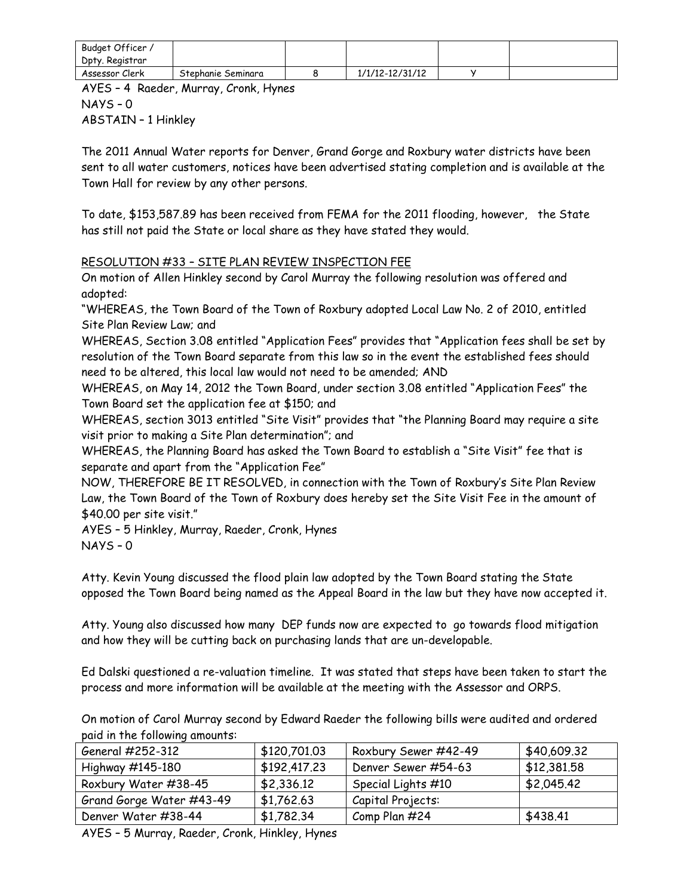| Budget Officer, |                    |                 |  |
|-----------------|--------------------|-----------------|--|
| Dpty. Registrar |                    |                 |  |
| Assessor Clerk  | Stephanie Seminara | 1/1/12-12/31/12 |  |

AYES – 4 Raeder, Murray, Cronk, Hynes NAYS – 0 ABSTAIN – 1 Hinkley

The 2011 Annual Water reports for Denver, Grand Gorge and Roxbury water districts have been sent to all water customers, notices have been advertised stating completion and is available at the Town Hall for review by any other persons.

To date, \$153,587.89 has been received from FEMA for the 2011 flooding, however, the State has still not paid the State or local share as they have stated they would.

## RESOLUTION #33 – SITE PLAN REVIEW INSPECTION FEE

On motion of Allen Hinkley second by Carol Murray the following resolution was offered and adopted:

"WHEREAS, the Town Board of the Town of Roxbury adopted Local Law No. 2 of 2010, entitled Site Plan Review Law; and

WHEREAS, Section 3.08 entitled "Application Fees" provides that "Application fees shall be set by resolution of the Town Board separate from this law so in the event the established fees should need to be altered, this local law would not need to be amended; AND

WHEREAS, on May 14, 2012 the Town Board, under section 3.08 entitled "Application Fees" the Town Board set the application fee at \$150; and

WHEREAS, section 3013 entitled "Site Visit" provides that "the Planning Board may require a site visit prior to making a Site Plan determination"; and

WHEREAS, the Planning Board has asked the Town Board to establish a "Site Visit" fee that is separate and apart from the "Application Fee"

NOW, THEREFORE BE IT RESOLVED, in connection with the Town of Roxbury's Site Plan Review Law, the Town Board of the Town of Roxbury does hereby set the Site Visit Fee in the amount of \$40.00 per site visit."

AYES – 5 Hinkley, Murray, Raeder, Cronk, Hynes NAYS – 0

Atty. Kevin Young discussed the flood plain law adopted by the Town Board stating the State opposed the Town Board being named as the Appeal Board in the law but they have now accepted it.

Atty. Young also discussed how many DEP funds now are expected to go towards flood mitigation and how they will be cutting back on purchasing lands that are un-developable.

Ed Dalski questioned a re-valuation timeline. It was stated that steps have been taken to start the process and more information will be available at the meeting with the Assessor and ORPS.

On motion of Carol Murray second by Edward Raeder the following bills were audited and ordered paid in the following amounts:

| General #252-312         | \$120,701.03 | Roxbury Sewer #42-49 | \$40,609.32 |  |  |
|--------------------------|--------------|----------------------|-------------|--|--|
| Highway #145-180         | \$192,417.23 | Denver Sewer #54-63  | \$12,381.58 |  |  |
| Roxbury Water #38-45     | \$2,336.12   | Special Lights #10   | \$2,045.42  |  |  |
| Grand Gorge Water #43-49 | \$1,762.63   | Capital Projects:    |             |  |  |
| Denver Water #38-44      | \$1,782.34   | Comp Plan #24        | \$438.41    |  |  |
|                          |              |                      |             |  |  |

AYES – 5 Murray, Raeder, Cronk, Hinkley, Hynes